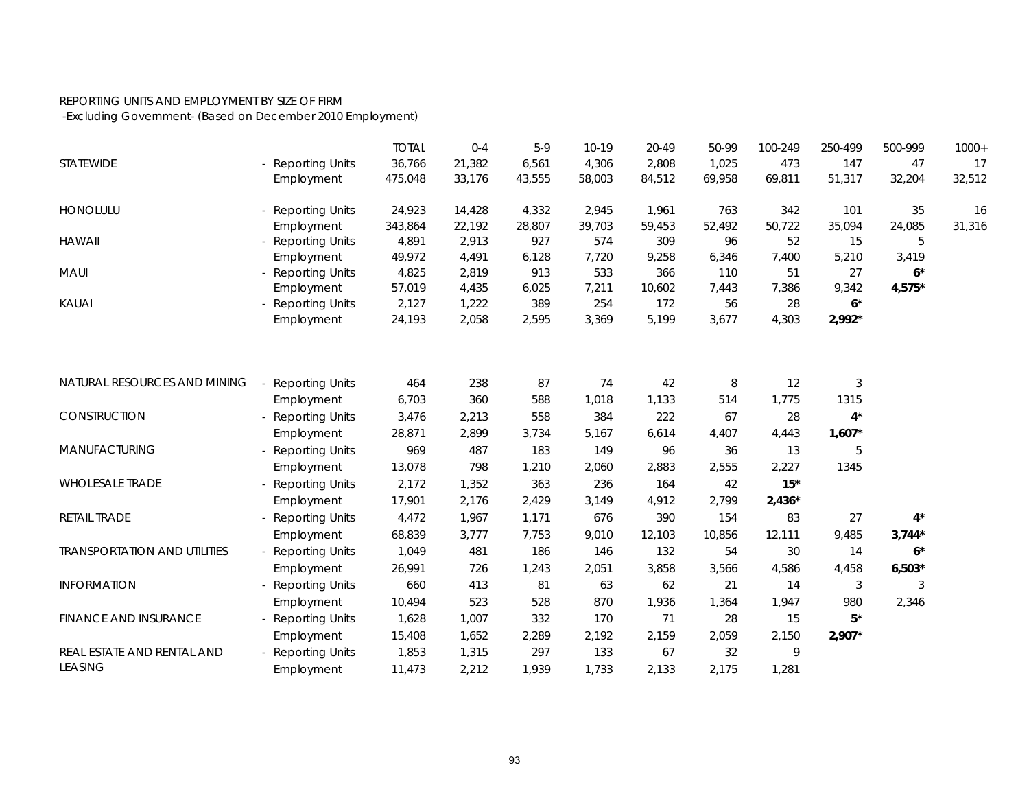## REPORTING UNITS AND EMPLOYMENT BY SIZE OF FIRM

-Excluding Government- (Based on December 2010 Employment)

|                                     |                        | <b>TOTAL</b> | $0 - 4$ | $5-9$  | $10-19$ | 20-49  | 50-99  | 100-249  | 250-499    | 500-999  | $1000+$ |
|-------------------------------------|------------------------|--------------|---------|--------|---------|--------|--------|----------|------------|----------|---------|
| STATEWIDE                           | <b>Reporting Units</b> | 36,766       | 21,382  | 6,561  | 4,306   | 2,808  | 1,025  | 473      | 147        | 47       | 17      |
|                                     | Employment             | 475,048      | 33,176  | 43,555 | 58,003  | 84,512 | 69,958 | 69,811   | 51,317     | 32,204   | 32,512  |
| <b>HONOLULU</b>                     | <b>Reporting Units</b> | 24,923       | 14,428  | 4,332  | 2,945   | 1,961  | 763    | 342      | 101        | 35       | 16      |
|                                     | Employment             | 343,864      | 22,192  | 28,807 | 39,703  | 59,453 | 52,492 | 50,722   | 35,094     | 24,085   | 31,316  |
| <b>HAWAII</b>                       | <b>Reporting Units</b> | 4,891        | 2,913   | 927    | 574     | 309    | 96     | 52       | 15         | 5        |         |
|                                     | Employment             | 49,972       | 4,491   | 6,128  | 7,720   | 9,258  | 6,346  | 7,400    | 5,210      | 3,419    |         |
| <b>MAUI</b>                         | <b>Reporting Units</b> | 4,825        | 2,819   | 913    | 533     | 366    | 110    | 51       | 27         | $6*$     |         |
|                                     | Employment             | 57,019       | 4,435   | 6,025  | 7,211   | 10,602 | 7,443  | 7,386    | 9,342      | $4,575*$ |         |
| KAUAI                               | <b>Reporting Units</b> | 2,127        | 1,222   | 389    | 254     | 172    | 56     | 28       | $6*$       |          |         |
|                                     | Employment             | 24,193       | 2,058   | 2,595  | 3,369   | 5,199  | 3,677  | 4,303    | 2,992*     |          |         |
|                                     |                        |              |         |        |         |        |        |          |            |          |         |
| NATURAL RESOURCES AND MINING        | <b>Reporting Units</b> | 464          | 238     | 87     | 74      | 42     | $\, 8$ | 12       | $\sqrt{3}$ |          |         |
|                                     | Employment             | 6,703        | 360     | 588    | 1,018   | 1,133  | 514    | 1,775    | 1315       |          |         |
| CONSTRUCTION                        | <b>Reporting Units</b> | 3,476        | 2,213   | 558    | 384     | 222    | 67     | 28       | $4^*$      |          |         |
|                                     | Employment             | 28,871       | 2,899   | 3,734  | 5,167   | 6,614  | 4,407  | 4,443    | $1,607*$   |          |         |
| MANUFACTURING                       | <b>Reporting Units</b> | 969          | 487     | 183    | 149     | 96     | 36     | 13       | 5          |          |         |
|                                     | Employment             | 13,078       | 798     | 1,210  | 2,060   | 2,883  | 2,555  | 2,227    | 1345       |          |         |
| <b>WHOLESALE TRADE</b>              | <b>Reporting Units</b> | 2,172        | 1,352   | 363    | 236     | 164    | 42     | $15*$    |            |          |         |
|                                     | Employment             | 17,901       | 2,176   | 2,429  | 3,149   | 4,912  | 2,799  | $2,436*$ |            |          |         |
| RETAIL TRADE                        | <b>Reporting Units</b> | 4,472        | 1,967   | 1,171  | 676     | 390    | 154    | 83       | 27         | $4^*$    |         |
|                                     | Employment             | 68,839       | 3,777   | 7,753  | 9,010   | 12,103 | 10,856 | 12,111   | 9,485      | $3,744*$ |         |
| <b>TRANSPORTATION AND UTILITIES</b> | - Reporting Units      | 1,049        | 481     | 186    | 146     | 132    | 54     | 30       | 14         | $6*$     |         |
|                                     | Employment             | 26,991       | 726     | 1,243  | 2,051   | 3,858  | 3,566  | 4,586    | 4,458      | $6,503*$ |         |
| <b>INFORMATION</b>                  | <b>Reporting Units</b> | 660          | 413     | 81     | 63      | 62     | 21     | 14       | 3          | 3        |         |
|                                     | Employment             | 10,494       | 523     | 528    | 870     | 1,936  | 1,364  | 1,947    | 980        | 2,346    |         |
| <b>FINANCE AND INSURANCE</b>        | <b>Reporting Units</b> | 1,628        | 1,007   | 332    | 170     | 71     | 28     | 15       | 5*         |          |         |
|                                     | Employment             | 15,408       | 1,652   | 2,289  | 2,192   | 2,159  | 2,059  | 2,150    | $2,907*$   |          |         |
| REAL ESTATE AND RENTAL AND          | <b>Reporting Units</b> | 1,853        | 1,315   | 297    | 133     | 67     | 32     | 9        |            |          |         |
| <b>LEASING</b>                      | Employment             | 11,473       | 2,212   | 1,939  | 1,733   | 2,133  | 2,175  | 1,281    |            |          |         |